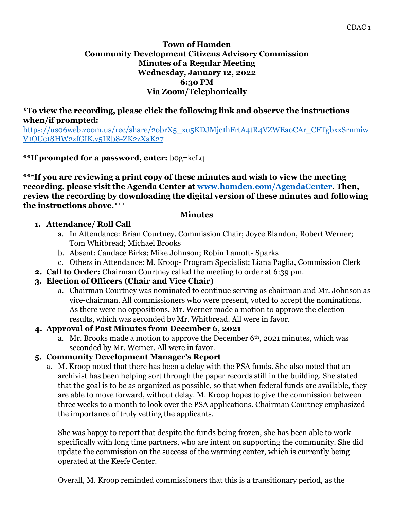#### **Town of Hamden Community Development Citizens Advisory Commission Minutes of a Regular Meeting Wednesday, January 12, 2022 6:30 PM Via Zoom/Telephonically**

#### **\*To view the recording, please click the following link and observe the instructions when/if prompted:**

[https://us06web.zoom.us/rec/share/2obrX5\\_xu5KDJMjc1hFrtA4tR4VZWEaoCAr\\_CFTgbxxSrnmiw](https://us06web.zoom.us/rec/share/2obrX5_xu5KDJMjc1hFrtA4tR4VZWEaoCAr_CFTgbxxSrnmiwV1OUc18HW2zfGIK.v5IRb8-ZK2zXaK27) [V1OUc18HW2zfGIK.v5IRb8-ZK2zXaK27](https://us06web.zoom.us/rec/share/2obrX5_xu5KDJMjc1hFrtA4tR4VZWEaoCAr_CFTgbxxSrnmiwV1OUc18HW2zfGIK.v5IRb8-ZK2zXaK27)

## **\*\*If prompted for a password, enter:** b0g=kcLq

**\*\*\*If you are reviewing a print copy of these minutes and wish to view the meeting recording, please visit the Agenda Center at [www.hamden.com/AgendaCenter.](http://www.hamden.com/AgendaCenter) Then, review the recording by downloading the digital version of these minutes and following the instructions above.\*\*\*** 

#### **Minutes**

## **1. Attendance/ Roll Call**

- a. In Attendance: Brian Courtney, Commission Chair; Joyce Blandon, Robert Werner; Tom Whitbread; Michael Brooks
- b. Absent: Candace Birks; Mike Johnson; Robin Lamott- Sparks
- c. Others in Attendance: M. Kroop- Program Specialist; Liana Paglia, Commission Clerk
- **2. Call to Order:** Chairman Courtney called the meeting to order at 6:39 pm.
- **3. Election of Officers (Chair and Vice Chair)**
	- a. Chairman Courtney was nominated to continue serving as chairman and Mr. Johnson as vice-chairman. All commissioners who were present, voted to accept the nominations. As there were no oppositions, Mr. Werner made a motion to approve the election results, which was seconded by Mr. Whitbread. All were in favor.

## **4. Approval of Past Minutes from December 6, 2021**

a. Mr. Brooks made a motion to approve the December 6th, 2021 minutes, which was seconded by Mr. Werner. All were in favor.

## **5. Community Development Manager's Report**

a. M. Kroop noted that there has been a delay with the PSA funds. She also noted that an archivist has been helping sort through the paper records still in the building. She stated that the goal is to be as organized as possible, so that when federal funds are available, they are able to move forward, without delay. M. Kroop hopes to give the commission between three weeks to a month to look over the PSA applications. Chairman Courtney emphasized the importance of truly vetting the applicants.

She was happy to report that despite the funds being frozen, she has been able to work specifically with long time partners, who are intent on supporting the community. She did update the commission on the success of the warming center, which is currently being operated at the Keefe Center.

Overall, M. Kroop reminded commissioners that this is a transitionary period, as the